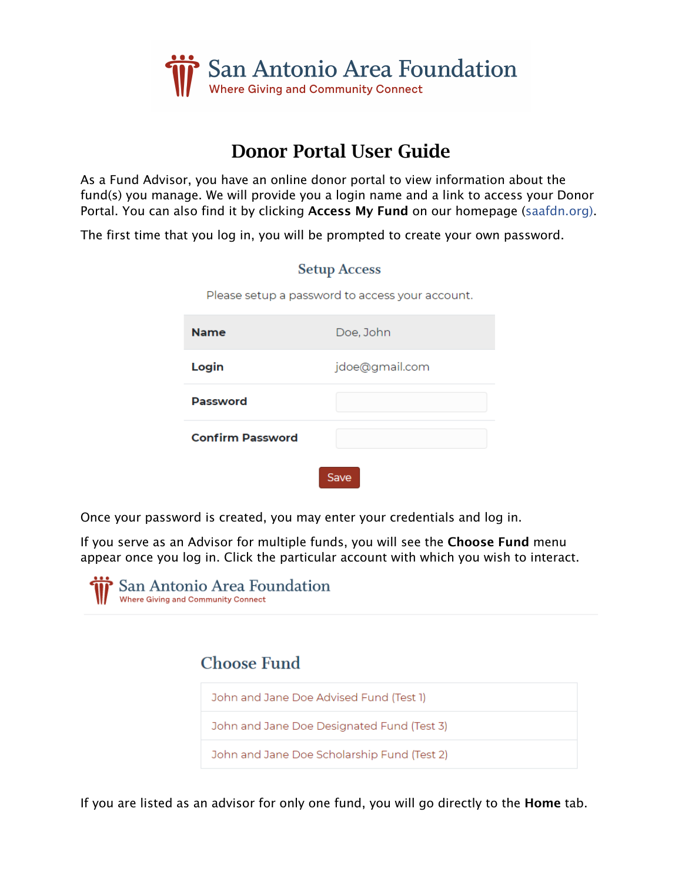

# Donor Portal User Guide

As a Fund Advisor, you have an online donor portal to view information about the fund(s) you manage. We will provide you a login name and a link to access your Donor Portal. You can also find it by clicking Access My Fund on our homepage (saafdn.org).

**Setup Access** 

The first time that you log in, you will be prompted to create your own password.

|                         | Please setup a password to access your account. |
|-------------------------|-------------------------------------------------|
| <b>Name</b>             | Doe, John                                       |
| Login                   | jdoe@gmail.com                                  |
| <b>Password</b>         |                                                 |
| <b>Confirm Password</b> |                                                 |
|                         | Save                                            |

Once your password is created, you may enter your credentials and log in.

If you serve as an Advisor for multiple funds, you will see the Choose Fund menu appear once you log in. Click the particular account with which you wish to interact.



## **Choose Fund**



If you are listed as an advisor for only one fund, you will go directly to the Home tab.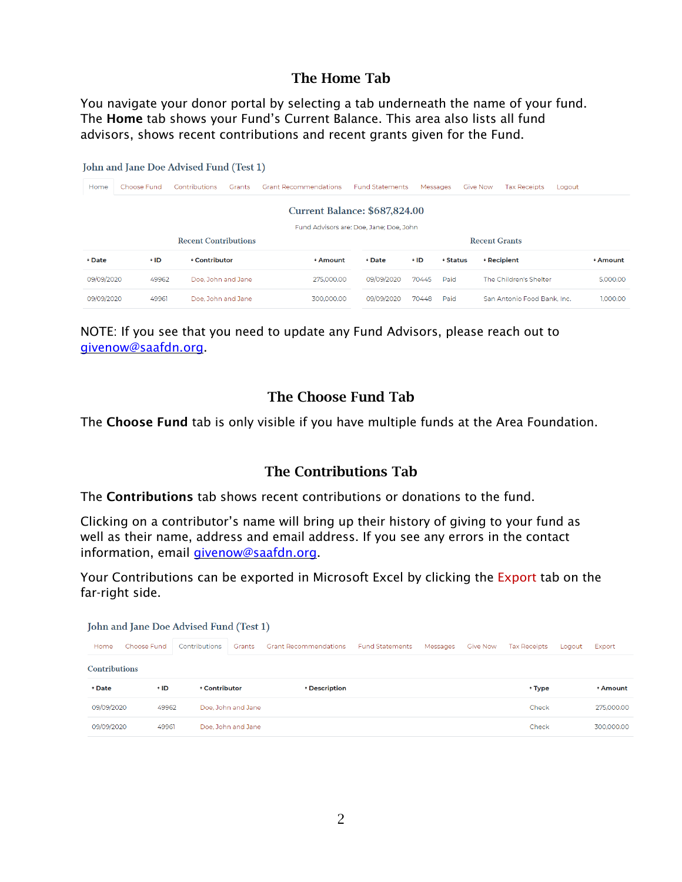## The Home Tab

You navigate your donor portal by selecting a tab underneath the name of your fund. The Home tab shows your Fund's Current Balance. This area also lists all fund advisors, shows recent contributions and recent grants given for the Fund.

| John and Jane Doe Advised Fund (Test 1) |                      |          |                        |                                                                                                                |        |                      |             |            |  |  |
|-----------------------------------------|----------------------|----------|------------------------|----------------------------------------------------------------------------------------------------------------|--------|----------------------|-------------|------------|--|--|
| <b>Tax Receipts</b><br>Logout           | Give Now             | Messages | <b>Fund Statements</b> | <b>Grant Recommendations</b>                                                                                   | Grants | <b>Contributions</b> | Choose Fund | Home       |  |  |
|                                         | <b>Recent Grants</b> |          |                        | <b>Current Balance: \$687,824.00</b><br>Fund Advisors are: Doe, Jane: Doe, John<br><b>Recent Contributions</b> |        |                      |             |            |  |  |
| <b>• Recipient</b><br><b>Amount</b>     | <b>• Status</b>      | ∘ ID     | • Date                 | * Amount                                                                                                       |        | <b>Contributor</b>   | ∘ ID        | • Date     |  |  |
| The Children's Shelter<br>5,000,00      | Paid                 | 70445    | 09/09/2020             | 275,000,00                                                                                                     |        | Doe, John and Jane   | 49962       | 09/09/2020 |  |  |
| 1.000.00<br>San Antonio Food Bank, Inc. | Paid                 | 70448    | 09/09/2020             | 300,000,00                                                                                                     |        | Doe, John and Jane   | 49961       | 09/09/2020 |  |  |
|                                         |                      |          |                        |                                                                                                                |        |                      |             |            |  |  |

NOTE: If you see that you need to update any Fund Advisors, please reach out to givenow@saafdn.org.

#### The Choose Fund Tab

The Choose Fund tab is only visible if you have multiple funds at the Area Foundation.

#### The Contributions Tab

The Contributions tab shows recent contributions or donations to the fund.

Clicking on a contributor's name will bring up their history of giving to your fund as well as their name, address and email address. If you see any errors in the contact information, email givenow@saafdn.org.

Your Contributions can be exported in Microsoft Excel by clicking the Export tab on the far-right side.

| John and Jane Doe Advised Fund (Test 1) |  |
|-----------------------------------------|--|
|-----------------------------------------|--|

| Home                 | Choose Fund | Contributions      | Grants             | <b>Grant Recommendations</b>      | <b>Fund Statements</b> | Messages | <b>Give Now</b> | <b>Tax Receipts</b> | Logout | Export          |
|----------------------|-------------|--------------------|--------------------|-----------------------------------|------------------------|----------|-----------------|---------------------|--------|-----------------|
| <b>Contributions</b> |             |                    |                    |                                   |                        |          |                 |                     |        |                 |
| ÷ Date               | ÷ ID        | <b>Contributor</b> |                    | <b><i><u>EDescription</u></i></b> |                        |          |                 | <b>* Type</b>       |        | <b>* Amount</b> |
| 09/09/2020           | 49962       |                    | Doe, John and Jane |                                   |                        |          |                 | Check               |        | 275,000.00      |
| 09/09/2020           | 49961       |                    | Doe, John and Jane |                                   |                        |          |                 | Check               |        | 300.000.00      |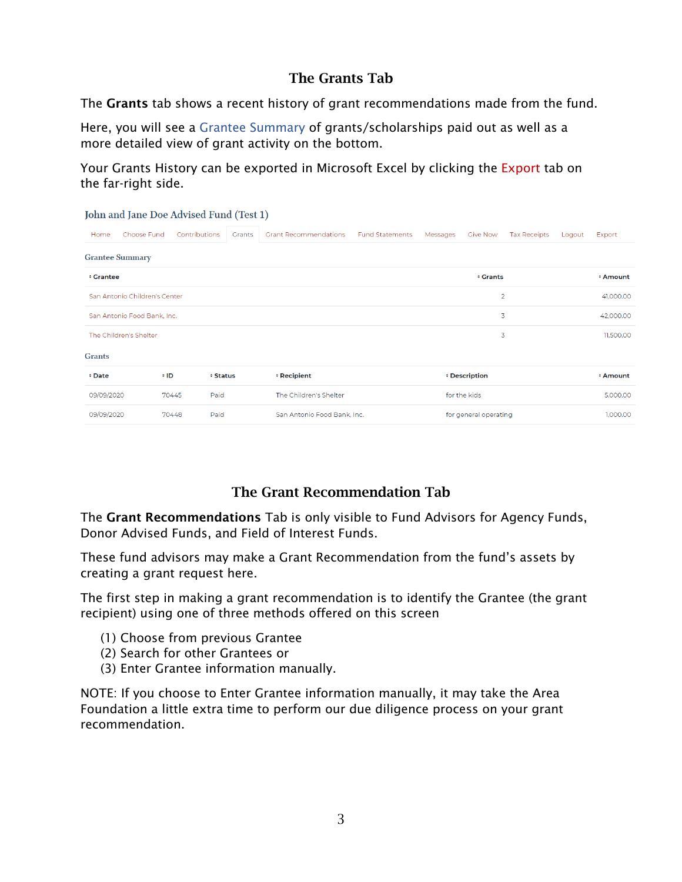## The Grants Tab

The Grants tab shows a recent history of grant recommendations made from the fund.

Here, you will see a Grantee Summary of grants/scholarships paid out as well as a more detailed view of grant activity on the bottom.

Your Grants History can be exported in Microsoft Excel by clicking the Export tab on the far-right side.

| John and Jane Doe Advised Fund (Test 1) |               |                 |                              |                        |          |                       |                     |        |                 |
|-----------------------------------------|---------------|-----------------|------------------------------|------------------------|----------|-----------------------|---------------------|--------|-----------------|
| Choose Fund<br>Home                     | Contributions | Grants          | <b>Grant Recommendations</b> | <b>Fund Statements</b> | Messages | <b>Give Now</b>       | <b>Tax Receipts</b> | Logout | Export          |
| <b>Grantee Summary</b>                  |               |                 |                              |                        |          |                       |                     |        |                 |
| <b>Crantee</b>                          |               |                 |                              |                        |          | <b>Crants</b>         |                     |        | <b>* Amount</b> |
| San Antonio Children's Center           |               |                 |                              |                        |          |                       | $\overline{2}$      |        | 41,000.00       |
| San Antonio Food Bank, Inc.             |               |                 |                              |                        |          |                       | 3                   |        | 42,000.00       |
| The Children's Shelter                  |               |                 |                              |                        |          |                       | 3                   |        | 11,500.00       |
| <b>Grants</b>                           |               |                 |                              |                        |          |                       |                     |        |                 |
| <b><i><u>*</u></i></b> Date             | ÷ ID          | <b>* Status</b> | * Recipient                  |                        |          | <b>• Description</b>  |                     |        | <b>* Amount</b> |
| 09/09/2020                              | 70445         | Paid            | The Children's Shelter       |                        |          | for the kids          |                     |        | 5,000.00        |
| 09/09/2020                              | 70448         | Paid            | San Antonio Food Bank, Inc.  |                        |          | for general operating |                     |        | 1,000.00        |

## The Grant Recommendation Tab

The Grant Recommendations Tab is only visible to Fund Advisors for Agency Funds, Donor Advised Funds, and Field of Interest Funds.

These fund advisors may make a Grant Recommendation from the fund's assets by creating a grant request here.

The first step in making a grant recommendation is to identify the Grantee (the grant recipient) using one of three methods offered on this screen

- (1) Choose from previous Grantee
- (2) Search for other Grantees or
- (3) Enter Grantee information manually.

NOTE: If you choose to Enter Grantee information manually, it may take the Area Foundation a little extra time to perform our due diligence process on your grant recommendation.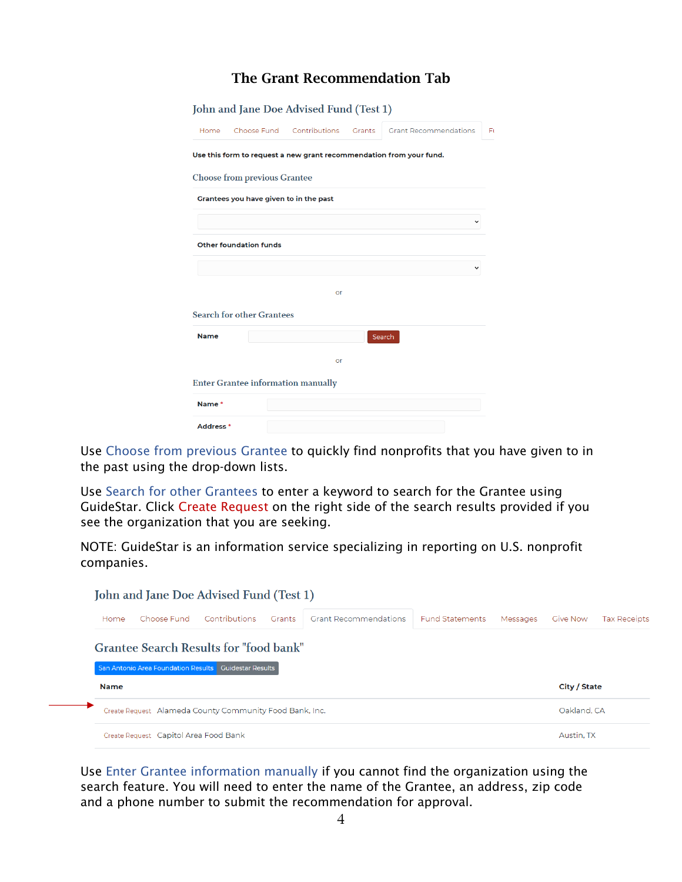## The Grant Recommendation Tab

|                      | John and Jane Doe Advised Fund (Test 1)   |                                  |                                                                     |     |
|----------------------|-------------------------------------------|----------------------------------|---------------------------------------------------------------------|-----|
| Home                 |                                           | Choose Fund Contributions Grants | <b>Grant Recommendations</b>                                        | Ft. |
|                      |                                           |                                  | Use this form to request a new grant recommendation from your fund. |     |
|                      | <b>Choose from previous Grantee</b>       |                                  |                                                                     |     |
|                      | Grantees you have given to in the past    |                                  |                                                                     |     |
|                      |                                           |                                  |                                                                     |     |
|                      | <b>Other foundation funds</b>             |                                  |                                                                     |     |
|                      |                                           |                                  |                                                                     |     |
|                      |                                           | or                               |                                                                     |     |
|                      | <b>Search for other Grantees</b>          |                                  |                                                                     |     |
| <b>Name</b>          |                                           |                                  | Search                                                              |     |
|                      |                                           | or                               |                                                                     |     |
|                      | <b>Enter Grantee information manually</b> |                                  |                                                                     |     |
| Name*                |                                           |                                  |                                                                     |     |
| Address <sup>*</sup> |                                           |                                  |                                                                     |     |

Use Choose from previous Grantee to quickly find nonprofits that you have given to in the past using the drop-down lists.

Use Search for other Grantees to enter a keyword to search for the Grantee using GuideStar. Click Create Request on the right side of the search results provided if you see the organization that you are seeking.

NOTE: GuideStar is an information service specializing in reporting on U.S. nonprofit companies.

| <b>Grant Recommendations</b><br>Grants | <b>Fund Statements</b>                                                                                                                                                                                              | Messages | <b>Give Now</b> | <b>Tax Receipts</b> |
|----------------------------------------|---------------------------------------------------------------------------------------------------------------------------------------------------------------------------------------------------------------------|----------|-----------------|---------------------|
|                                        |                                                                                                                                                                                                                     |          |                 |                     |
|                                        |                                                                                                                                                                                                                     |          | City / State    |                     |
|                                        |                                                                                                                                                                                                                     |          | Oakland, CA     |                     |
|                                        |                                                                                                                                                                                                                     |          |                 |                     |
|                                        | John and Jane Doe Advised Fund (Test 1)<br><b>Grantee Search Results for "food bank"</b><br><b>San Antonio Area Foundation Results Cuidestar Results</b><br>Create Request Alameda County Community Food Bank, Inc. |          |                 |                     |

Use Enter Grantee information manually if you cannot find the organization using the search feature. You will need to enter the name of the Grantee, an address, zip code and a phone number to submit the recommendation for approval.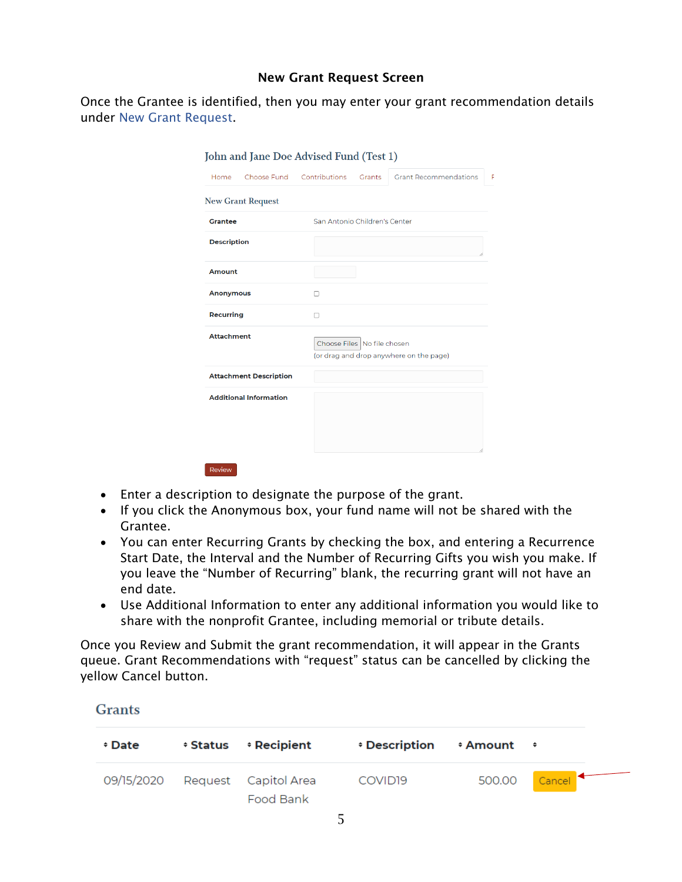#### New Grant Request Screen

Once the Grantee is identified, then you may enter your grant recommendation details under New Grant Request.

|                               |   | Grants | <b>Grant Recommendations</b>                                                                                                         |
|-------------------------------|---|--------|--------------------------------------------------------------------------------------------------------------------------------------|
| <b>New Grant Request</b>      |   |        |                                                                                                                                      |
|                               |   |        |                                                                                                                                      |
| <b>Description</b>            |   |        |                                                                                                                                      |
| <b>Amount</b>                 |   |        |                                                                                                                                      |
| <b>Anonymous</b>              | n |        |                                                                                                                                      |
| Recurring                     | п |        |                                                                                                                                      |
| <b>Attachment</b>             |   |        |                                                                                                                                      |
| <b>Attachment Description</b> |   |        |                                                                                                                                      |
| <b>Additional Information</b> |   |        |                                                                                                                                      |
|                               |   |        | Choose Fund Contributions<br>San Antonio Children's Center<br>Choose Files No file chosen<br>(or drag and drop anywhere on the page) |

- Enter a description to designate the purpose of the grant.
- If you click the Anonymous box, your fund name will not be shared with the Grantee.
- You can enter Recurring Grants by checking the box, and entering a Recurrence Start Date, the Interval and the Number of Recurring Gifts you wish you make. If you leave the "Number of Recurring" blank, the recurring grant will not have an end date.
- Use Additional Information to enter any additional information you would like to share with the nonprofit Grantee, including memorial or tribute details.

Once you Review and Submit the grant recommendation, it will appear in the Grants queue. Grant Recommendations with "request" status can be cancelled by clicking the yellow Cancel button.

**Grants** 

| ÷ Date | $\div$ Status $\div$ Recipient               | $\div$ Description $\div$ Amount $\div$ |               |
|--------|----------------------------------------------|-----------------------------------------|---------------|
|        | 09/15/2020 Request Capitol Area<br>Food Bank | COVID <sub>19</sub>                     | 500.00 Cancel |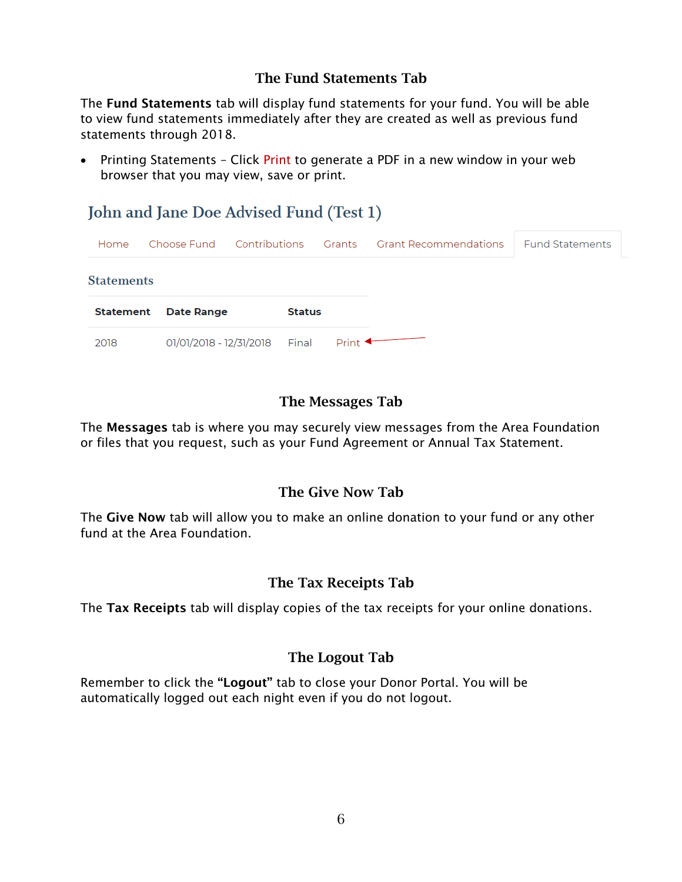## The Fund Statements Tab

The Fund Statements tab will display fund statements for your fund. You will be able to view fund statements immediately after they are created as well as previous fund statements through 2018.

• Printing Statements - Click Print to generate a PDF in a new window in your web browser that you may view, save or print.

## John and Jane Doe Advised Fund (Test 1)

| Home              | Choose Fund Contributions Grants Grant Recommendations |               |                       |  | <b>Fund Statements</b> |
|-------------------|--------------------------------------------------------|---------------|-----------------------|--|------------------------|
| <b>Statements</b> |                                                        |               |                       |  |                        |
| Statement         | <b>Date Range</b>                                      | <b>Status</b> |                       |  |                        |
| 2018              | 01/01/2018 - 12/31/2018   Final                        |               | Print $\triangleleft$ |  |                        |

## The Messages Tab

The Messages tab is where you may securely view messages from the Area Foundation or files that you request, such as your Fund Agreement or Annual Tax Statement.

## The Give Now Tab

The Give Now tab will allow you to make an online donation to your fund or any other fund at the Area Foundation.

## The Tax Receipts Tab

The Tax Receipts tab will display copies of the tax receipts for your online donations.

## The Logout Tab

Remember to click the "Logout" tab to close your Donor Portal. You will be automatically logged out each night even if you do not logout.